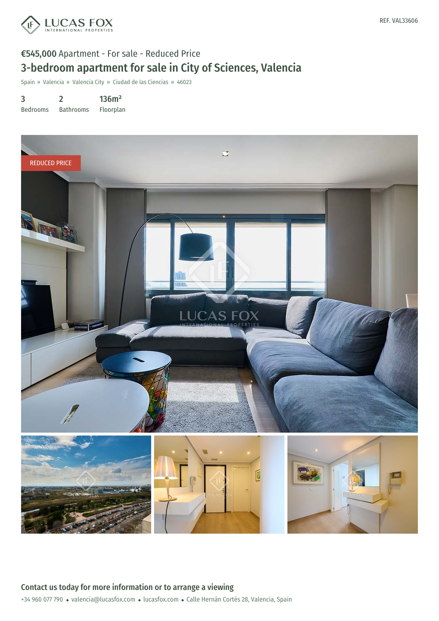

# €545,000 Apartment - For sale - Reduced Price 3-bedroom apartment for sale in City of Sciences, Valencia

Spain » Valencia » Valencia City » Ciudad de las Ciencias » 46023

3 Bedrooms 2 Bathrooms 136m² Floorplan

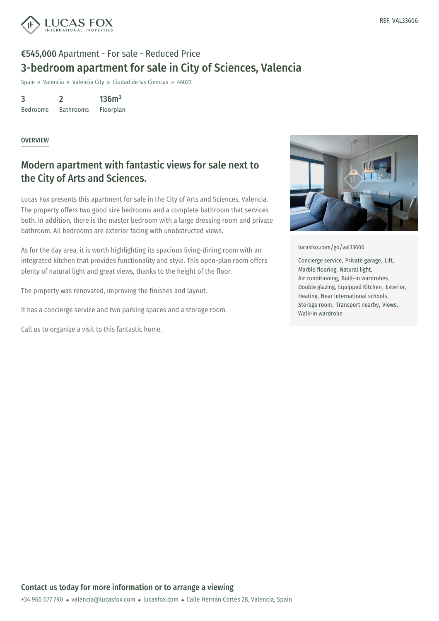

# €545,000 Apartment - For sale - Reduced Price 3-bedroom apartment for sale in City of Sciences, Valencia

Spain » Valencia » Valencia City » Ciudad de las Ciencias » 46023

3 2 136m²

Bedrooms Bathrooms Floorplan

#### **OVERVIEW**

### Modern apartment with fantastic views for sale next to the City of Arts and Sciences.

Lucas Fox presents this apartment for sale in the City of Arts and Sciences, Valencia. The property offers two good size bedrooms and a complete bathroom that services both. In addition, there is the master bedroom with a large dressing room and private bathroom. All bedrooms are exterior facing with unobstructed views.

As for the day area, it is worth highlighting its spacious living-dining room with an integrated kitchen that provides functionality and style. This open-plan room offers plenty of natural light and great views, thanks to the height of the floor.

The property was renovated, improving the finishes and layout.

It has a concierge service and two parking spaces and a storage room.

Call us to organize a visit to this fantastic home.



[lucasfox.com/go/val33606](https://www.lucasfox.com/go/val33606)

Concierge service, Private garage, Lift, Marble flooring, Natural light, Air conditioning, Built-in wardrobes, Double glazing, Equipped Kitchen, Exterior, Heating, Near international schools, Storage room, Transport nearby, Views, Walk-in wardrobe